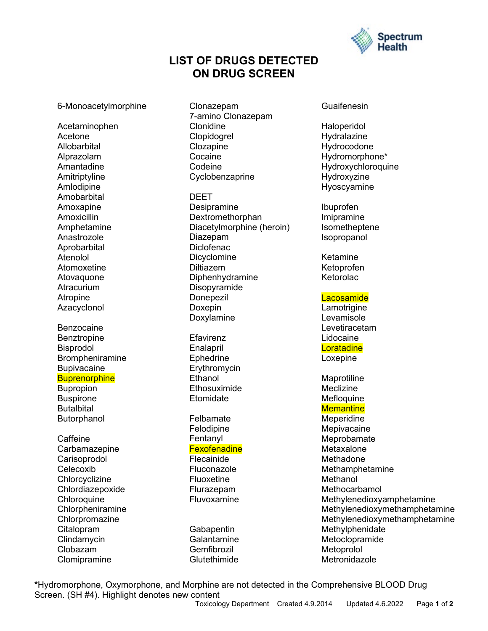

## **LIST OF DRUGS DETECTED ON DRUG SCREEN**

#### 6-Monoacetylmorphine

Acetaminophen Acetone **Allobarbital** Alprazolam Amantadine **Amitriptyline** Amlodipine Amobarbital Amoxapine Amoxicillin Amphetamine Anastrozole Aprobarbital Atenolol Atomoxetine Atovaquone **Atracurium** Atropine Azacyclonol

Benzocaine Benztropine Bisprodol Brompheniramine **Bupivacaine Buprenorphine** Bupropion Buspirone **Butalbital Butorphanol** 

Caffeine **Carbamazepine** Carisoprodol Celecoxib **Chlorcyclizine** Chlordiazepoxide **Chloroquine Chlorpheniramine Chlorpromazine** Citalopram **Clindamycin** Clobazam **Clomipramine** 

Clonazepam 7-amino Clonazepam Clonidine Clopidogrel **Clozapine** Cocaine Codeine Cyclobenzaprine

DEET Desipramine **Dextromethorphan** Diacetylmorphine (heroin) Diazepam **Diclofenac Dicyclomine** Diltiazem Diphenhydramine Disopyramide Donepezil Doxepin Doxylamine

**Efavirenz** Enalapril **Ephedrine** Erythromycin **Ethanol Ethosuximide Etomidate** 

Felbamate Felodipine Fentanyl **Fexofenadine** Flecainide Fluconazole

Fluoxetine Flurazepam Fluvoxamine

Gabapentin **Galantamine** Gemfibrozil **Glutethimide** 

Guaifenesin

Haloperidol Hydralazine Hydrocodone Hydromorphone\* Hydroxychloroquine Hydroxyzine Hyoscyamine

Ibuprofen Imipramine Isometheptene Isopropanol

Ketamine Ketoprofen Ketorolac

**Lacosamide** 

Lamotrigine Levamisole Levetiracetam Lidocaine **Loratadine** Loxepine

**Maprotiline** Meclizine **Mefloquine Memantine Meperidine Mepivacaine** Meprobamate Metaxalone Methadone Methamphetamine **Methanol Methocarbamol** Methylenedioxyamphetamine Methylenedioxymethamphetamine Methylenedioxymethamphetamine Methylphenidate Metoclopramide **Metoprolol** Metronidazole

**\***Hydromorphone, Oxymorphone, and Morphine are not detected in the Comprehensive BLOOD Drug Screen. (SH #4). Highlight denotes new content